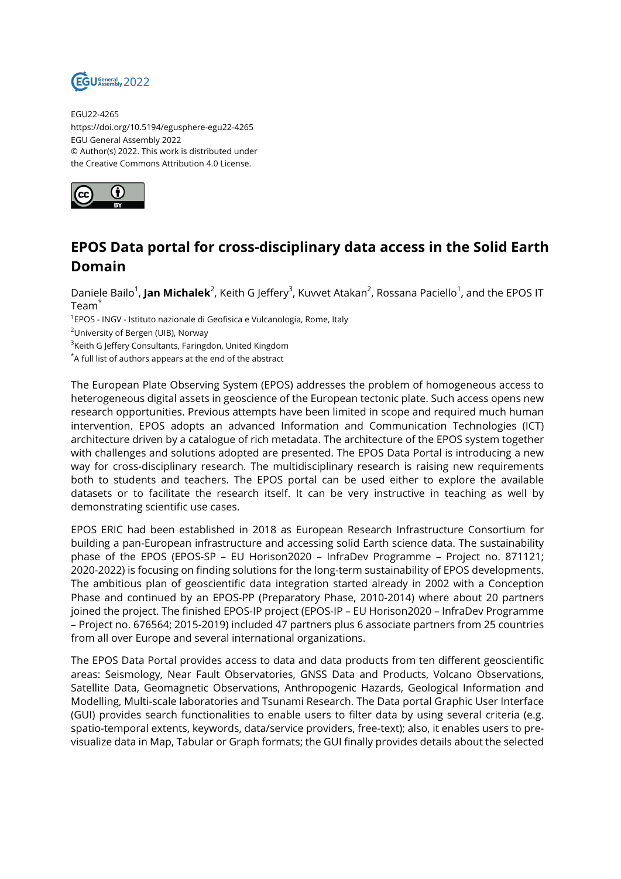

EGU22-4265 https://doi.org/10.5194/egusphere-egu22-4265 EGU General Assembly 2022 © Author(s) 2022. This work is distributed under the Creative Commons Attribution 4.0 License.



## **EPOS Data portal for cross-disciplinary data access in the Solid Earth Domain**

Daniele Bailo<sup>1</sup>, **Jan Michalek**<sup>2</sup>, Keith G Jeffery<sup>3</sup>, Kuvvet Atakan<sup>2</sup>, Rossana Paciello<sup>1</sup>, and the EPOS IT Team\*

<sup>1</sup>EPOS - INGV - Istituto nazionale di Geofisica e Vulcanologia, Rome, Italy

<sup>2</sup>University of Bergen (UIB), Norway

<sup>3</sup>Keith G Jeffery Consultants, Faringdon, United Kingdom

\*A full list of authors appears at the end of the abstract

The European Plate Observing System (EPOS) addresses the problem of homogeneous access to heterogeneous digital assets in geoscience of the European tectonic plate. Such access opens new research opportunities. Previous attempts have been limited in scope and required much human intervention. EPOS adopts an advanced Information and Communication Technologies (ICT) architecture driven by a catalogue of rich metadata. The architecture of the EPOS system together with challenges and solutions adopted are presented. The EPOS Data Portal is introducing a new way for cross-disciplinary research. The multidisciplinary research is raising new requirements both to students and teachers. The EPOS portal can be used either to explore the available datasets or to facilitate the research itself. It can be very instructive in teaching as well by demonstrating scientific use cases.

EPOS ERIC had been established in 2018 as European Research Infrastructure Consortium for building a pan-European infrastructure and accessing solid Earth science data. The sustainability phase of the EPOS (EPOS-SP – EU Horison2020 – InfraDev Programme – Project no. 871121; 2020-2022) is focusing on finding solutions for the long-term sustainability of EPOS developments. The ambitious plan of geoscientific data integration started already in 2002 with a Conception Phase and continued by an EPOS-PP (Preparatory Phase, 2010-2014) where about 20 partners joined the project. The finished EPOS-IP project (EPOS-IP – EU Horison2020 – InfraDev Programme – Project no. 676564; 2015-2019) included 47 partners plus 6 associate partners from 25 countries from all over Europe and several international organizations.

The EPOS Data Portal provides access to data and data products from ten different geoscientific areas: Seismology, Near Fault Observatories, GNSS Data and Products, Volcano Observations, Satellite Data, Geomagnetic Observations, Anthropogenic Hazards, Geological Information and Modelling, Multi-scale laboratories and Tsunami Research. The Data portal Graphic User Interface (GUI) provides search functionalities to enable users to filter data by using several criteria (e.g. spatio-temporal extents, keywords, data/service providers, free-text); also, it enables users to previsualize data in Map, Tabular or Graph formats; the GUI finally provides details about the selected